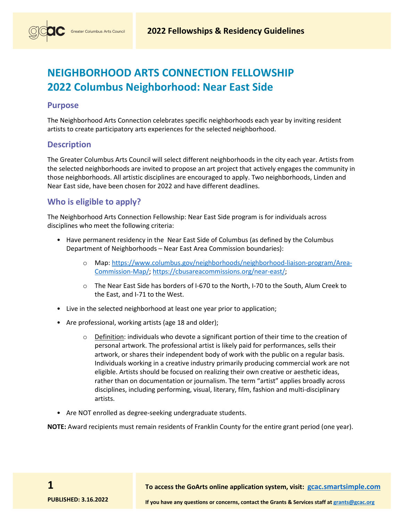# **NEIGHBORHOOD ARTS CONNECTION FELLOWSHIP 2022 Columbus Neighborhood: Near East Side**

#### **Purpose**

The Neighborhood Arts Connection celebrates specific neighborhoods each year by inviting resident artists to create participatory arts experiences for the selected neighborhood.

#### **Description**

The Greater Columbus Arts Council will select different neighborhoods in the city each year. Artists from the selected neighborhoods are invited to propose an art project that actively engages the community in those neighborhoods. All artistic disciplines are encouraged to apply. Two neighborhoods, Linden and Near East side, have been chosen for 2022 and have different deadlines.

### **Who is eligible to apply?**

The Neighborhood Arts Connection Fellowship: Near East Side program is for individuals across disciplines who meet the following criteria:

- Have permanent residency in the Near East Side of Columbus (as defined by the Columbus Department of Neighborhoods – Near East Area Commission boundaries):
	- o Map: [https://www.columbus.gov/neighborhoods/neighborhood-liaison-program/Area-](https://www.columbus.gov/neighborhoods/neighborhood-liaison-program/Area-Commission-Map/)[Commission-Map/;](https://www.columbus.gov/neighborhoods/neighborhood-liaison-program/Area-Commission-Map/) [https://cbusareacommissions.org/near-east/;](https://cbusareacommissions.org/near-east/)
	- o The Near East Side has borders of I-670 to the North, I-70 to the South, Alum Creek to the East, and I-71 to the West.
- Live in the selected neighborhood at least one year prior to application;
- Are professional, working artists (age 18 and older);
	- $\circ$  Definition: individuals who devote a significant portion of their time to the creation of personal artwork. The professional artist is likely paid for performances, sells their artwork, or shares their independent body of work with the public on a regular basis. Individuals working in a creative industry primarily producing commercial work are not eligible. Artists should be focused on realizing their own creative or aesthetic ideas, rather than on documentation or journalism. The term "artist" applies broadly across disciplines, including performing, visual, literary, film, fashion and multi-disciplinary artists.
- Are NOT enrolled as degree-seeking undergraduate students.

**NOTE:** Award recipients must remain residents of Franklin County for the entire grant period (one year).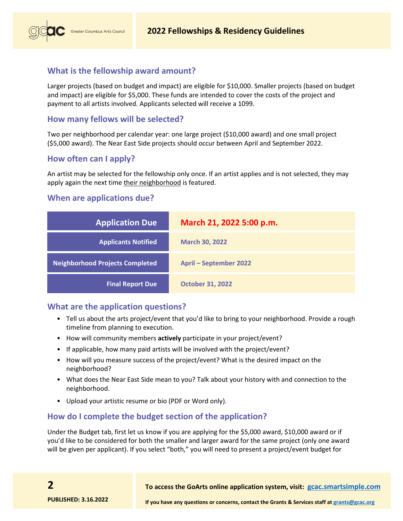# **What is the fellowship award amount?**

Greater Columbus Arts Council

Larger projects (based on budget and impact) are eligible for \$10,000. Smaller projects (based on budget and impact) are eligible for \$5,000. These funds are intended to cover the costs of the project and payment to all artists involved. Applicants selected will receive a 1099.

# **How many fellows will be selected?**

Two per neighborhood per calendar year: one large project (\$10,000 award) and one small project (\$5,000 award). The Near East Side projects should occur between April and September 2022.

# **How often can I apply?**

An artist may be selected for the fellowship only once. If an artist applies and is not selected, they may apply again the next time their neighborhood is featured.

# **When are applications due?**

| <b>Application Due</b>                 | March 21, 2022 5:00 p.m.      |
|----------------------------------------|-------------------------------|
| <b>Applicants Notified</b>             | <b>March 30, 2022</b>         |
| <b>Neighborhood Projects Completed</b> | <b>April - September 2022</b> |
| <b>Final Report Due</b>                | <b>October 31, 2022</b>       |

# **What are the application questions?**

- Tell us about the arts project/event that you'd like to bring to your neighborhood. Provide a rough timeline from planning to execution.
- How will community members **actively** participate in your project/event?
- If applicable, how many paid artists will be involved with the project/event?
- How will you measure success of the project/event? What is the desired impact on the neighborhood?
- What does the Near East Side mean to you? Talk about your history with and connection to the neighborhood.
- Upload your artistic resume or bio (PDF or Word only).

# **How do I complete the budget section of the application?**

Under the Budget tab, first let us know if you are applying for the \$5,000 award, \$10,000 award or if you'd like to be considered for both the smaller and larger award for the same project (only one award will be given per applicant). If you select "both," you will need to present a project/event budget for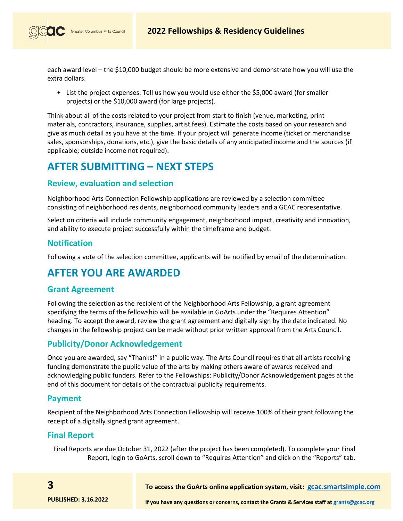

Greater Columbus Arts Council

each award level – the \$10,000 budget should be more extensive and demonstrate how you will use the extra dollars.

• List the project expenses. Tell us how you would use either the \$5,000 award (for smaller projects) or the \$10,000 award (for large projects).

Think about all of the costs related to your project from start to finish (venue, marketing, print materials, contractors, insurance, supplies, artist fees). Estimate the costs based on your research and give as much detail as you have at the time. If your project will generate income (ticket or merchandise sales, sponsorships, donations, etc.), give the basic details of any anticipated income and the sources (if applicable; outside income not required).

# **AFTER SUBMITTING – NEXT STEPS**

# **Review, evaluation and selection**

Neighborhood Arts Connection Fellowship applications are reviewed by a selection committee consisting of neighborhood residents, neighborhood community leaders and a GCAC representative.

Selection criteria will include community engagement, neighborhood impact, creativity and innovation, and ability to execute project successfully within the timeframe and budget.

### **Notification**

Following a vote of the selection committee, applicants will be notified by email of the determination.

# **AFTER YOU ARE AWARDED**

#### **Grant Agreement**

Following the selection as the recipient of the Neighborhood Arts Fellowship, a grant agreement specifying the terms of the fellowship will be available in GoArts under the "Requires Attention" heading. To accept the award, review the grant agreement and digitally sign by the date indicated. No changes in the fellowship project can be made without prior written approval from the Arts Council.

#### **Publicity/Donor Acknowledgement**

Once you are awarded, say "Thanks!" in a public way. The Arts Council requires that all artists receiving funding demonstrate the public value of the arts by making others aware of awards received and acknowledging public funders. Refer to the Fellowships: Publicity/Donor Acknowledgement pages at the end of this document for details of the contractual publicity requirements.

#### **Payment**

Recipient of the Neighborhood Arts Connection Fellowship will receive 100% of their grant following the receipt of a digitally signed grant agreement.

# **Final Report**

**3**

Final Reports are due October 31, 2022 (after the project has been completed). To complete your Final Report, login to GoArts, scroll down to "Requires Attention" and click on the "Reports" tab.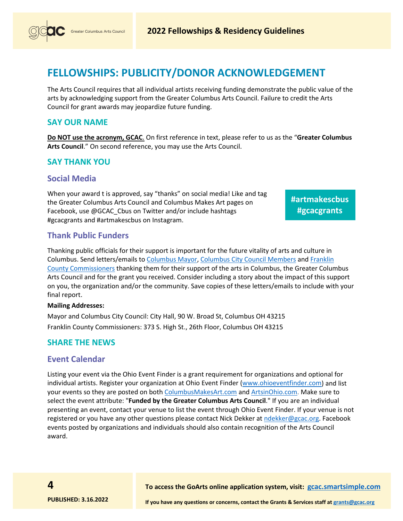

# **FELLOWSHIPS: PUBLICITY/DONOR ACKNOWLEDGEMENT**

The Arts Council requires that all individual artists receiving funding demonstrate the public value of the arts by acknowledging support from the Greater Columbus Arts Council. Failure to credit the Arts Council for grant awards may jeopardize future funding.

#### **SAY OUR NAME**

**Do NOT use the acronym, GCAC**. On first reference in text, please refer to us as the "**Greater Columbus Arts Council**." On second reference, you may use the Arts Council.

# **SAY THANK YOU**

#### **Social Media**

When your award t is approved, say "thanks" on social media! Like and tag the Greater Columbus Arts Council and Columbus Makes Art pages on Facebook, use @GCAC\_Cbus on Twitter and/or include hashtags #gcacgrants and #artmakescbus on Instagram.

**#artmakescbus #gcacgrants** 

### **Thank Public Funders**

Thanking public officials for their support is important for the future vitality of arts and culture in Columbus. Send letters/emails to [Columbus Mayor,](https://www.columbus.gov/mayor/Office-of-the-Mayor/) [Columbus City Council Members](https://www.columbus.gov/council/members/) and [Franklin](https://commissioners.franklincountyohio.gov/)  [County Commissioners](https://commissioners.franklincountyohio.gov/) thanking them for their support of the arts in Columbus, the Greater Columbus Arts Council and for the grant you received. Consider including a story about the impact of this support on you, the organization and/or the community. Save copies of these letters/emails to include with your final report.

#### **Mailing Addresses:**

Mayor and Columbus City Council: City Hall, 90 W. Broad St, Columbus OH 43215 Franklin County Commissioners: 373 S. High St., 26th Floor, Columbus OH 43215

#### **SHARE THE NEWS**

#### **Event Calendar**

Listing your event via the Ohio Event Finder is a grant requirement for organizations and optional for individual artists. Register your organization at Ohio Event Finder [\(www.ohioeventfinder.com\)](http://www.ohioeventfinder.com/) and list your events so they are posted on both [ColumbusMakesArt.com](http://www.columbusmakesart.com/) and [ArtsinOhio.com.](http://www.artsinohio.com/) Make sure to select the event attribute: "**Funded by the Greater Columbus Arts Council**." If you are an individual presenting an event, contact your venue to list the event through Ohio Event Finder. If your venue is not registered or you have any other questions please contact Nick Dekker at [ndekker@gcac.org.](mailto:ndekker@gcac.org) Facebook events posted by organizations and individuals should also contain recognition of the Arts Council award.

**To access the GoArts online application system, visit: [gcac.smartsimple.com](https://gcac.smartsimple.com/)**